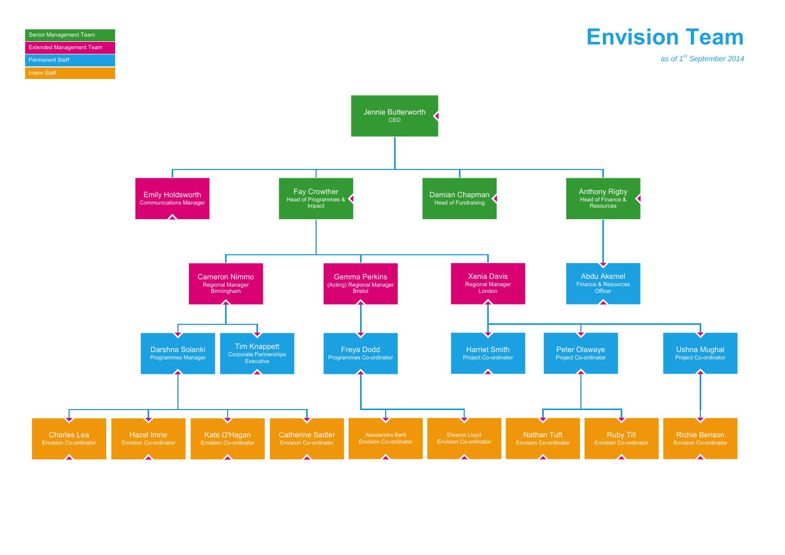#### Senior Management Team Extended Management Team Permanent Staff Intern Staff

## **Envision Team**

*as of 1st September 2014*